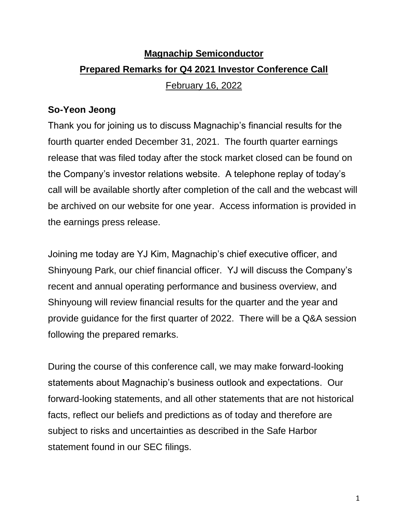# **Magnachip Semiconductor Prepared Remarks for Q4 2021 Investor Conference Call** February 16, 2022

### **So-Yeon Jeong**

Thank you for joining us to discuss Magnachip's financial results for the fourth quarter ended December 31, 2021. The fourth quarter earnings release that was filed today after the stock market closed can be found on the Company's investor relations website. A telephone replay of today's call will be available shortly after completion of the call and the webcast will be archived on our website for one year. Access information is provided in the earnings press release.

Joining me today are YJ Kim, Magnachip's chief executive officer, and Shinyoung Park, our chief financial officer. YJ will discuss the Company's recent and annual operating performance and business overview, and Shinyoung will review financial results for the quarter and the year and provide guidance for the first quarter of 2022. There will be a Q&A session following the prepared remarks.

During the course of this conference call, we may make forward-looking statements about Magnachip's business outlook and expectations. Our forward-looking statements, and all other statements that are not historical facts, reflect our beliefs and predictions as of today and therefore are subject to risks and uncertainties as described in the Safe Harbor statement found in our SEC filings.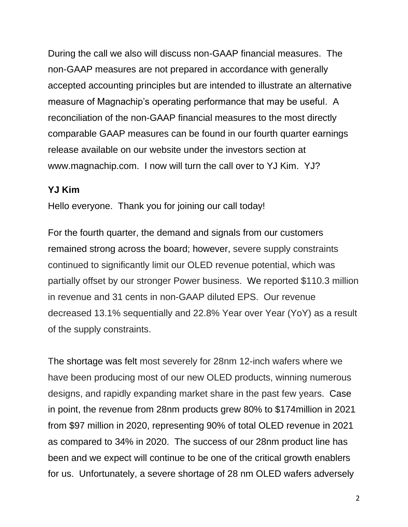During the call we also will discuss non-GAAP financial measures. The non-GAAP measures are not prepared in accordance with generally accepted accounting principles but are intended to illustrate an alternative measure of Magnachip's operating performance that may be useful. A reconciliation of the non-GAAP financial measures to the most directly comparable GAAP measures can be found in our fourth quarter earnings release available on our website under the investors section at www.magnachip.com. I now will turn the call over to YJ Kim. YJ?

#### **YJ Kim**

Hello everyone. Thank you for joining our call today!

For the fourth quarter, the demand and signals from our customers remained strong across the board; however, severe supply constraints continued to significantly limit our OLED revenue potential, which was partially offset by our stronger Power business. We reported \$110.3 million in revenue and 31 cents in non-GAAP diluted EPS. Our revenue decreased 13.1% sequentially and 22.8% Year over Year (YoY) as a result of the supply constraints.

The shortage was felt most severely for 28nm 12-inch wafers where we have been producing most of our new OLED products, winning numerous designs, and rapidly expanding market share in the past few years. Case in point, the revenue from 28nm products grew 80% to \$174million in 2021 from \$97 million in 2020, representing 90% of total OLED revenue in 2021 as compared to 34% in 2020. The success of our 28nm product line has been and we expect will continue to be one of the critical growth enablers for us. Unfortunately, a severe shortage of 28 nm OLED wafers adversely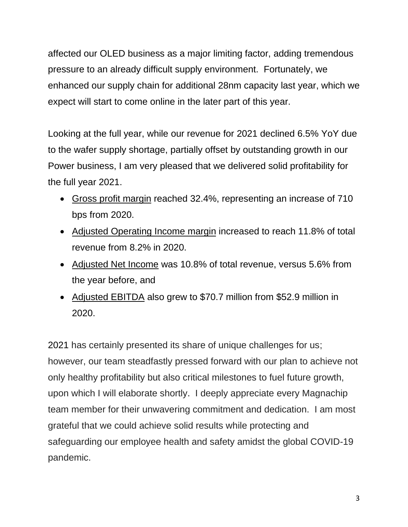affected our OLED business as a major limiting factor, adding tremendous pressure to an already difficult supply environment. Fortunately, we enhanced our supply chain for additional 28nm capacity last year, which we expect will start to come online in the later part of this year.

Looking at the full year, while our revenue for 2021 declined 6.5% YoY due to the wafer supply shortage, partially offset by outstanding growth in our Power business, I am very pleased that we delivered solid profitability for the full year 2021.

- Gross profit margin reached 32.4%, representing an increase of 710 bps from 2020.
- Adjusted Operating Income margin increased to reach 11.8% of total revenue from 8.2% in 2020.
- Adjusted Net Income was 10.8% of total revenue, versus 5.6% from the year before, and
- Adjusted EBITDA also grew to \$70.7 million from \$52.9 million in 2020.

2021 has certainly presented its share of unique challenges for us; however, our team steadfastly pressed forward with our plan to achieve not only healthy profitability but also critical milestones to fuel future growth, upon which I will elaborate shortly. I deeply appreciate every Magnachip team member for their unwavering commitment and dedication. I am most grateful that we could achieve solid results while protecting and safeguarding our employee health and safety amidst the global COVID-19 pandemic.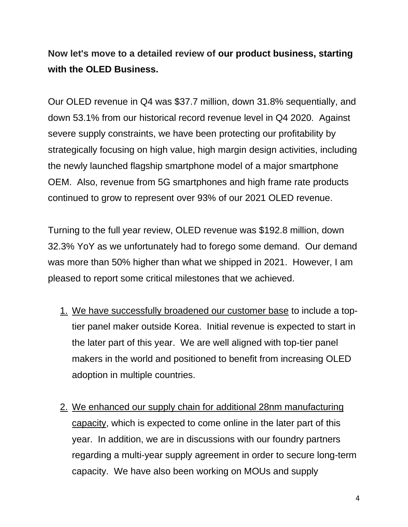**Now let's move to a detailed review of our product business, starting with the OLED Business.**

Our OLED revenue in Q4 was \$37.7 million, down 31.8% sequentially, and down 53.1% from our historical record revenue level in Q4 2020. Against severe supply constraints, we have been protecting our profitability by strategically focusing on high value, high margin design activities, including the newly launched flagship smartphone model of a major smartphone OEM. Also, revenue from 5G smartphones and high frame rate products continued to grow to represent over 93% of our 2021 OLED revenue.

Turning to the full year review, OLED revenue was \$192.8 million, down 32.3% YoY as we unfortunately had to forego some demand. Our demand was more than 50% higher than what we shipped in 2021. However, I am pleased to report some critical milestones that we achieved.

- 1. We have successfully broadened our customer base to include a toptier panel maker outside Korea. Initial revenue is expected to start in the later part of this year. We are well aligned with top-tier panel makers in the world and positioned to benefit from increasing OLED adoption in multiple countries.
- 2. We enhanced our supply chain for additional 28nm manufacturing capacity, which is expected to come online in the later part of this year. In addition, we are in discussions with our foundry partners regarding a multi-year supply agreement in order to secure long-term capacity. We have also been working on MOUs and supply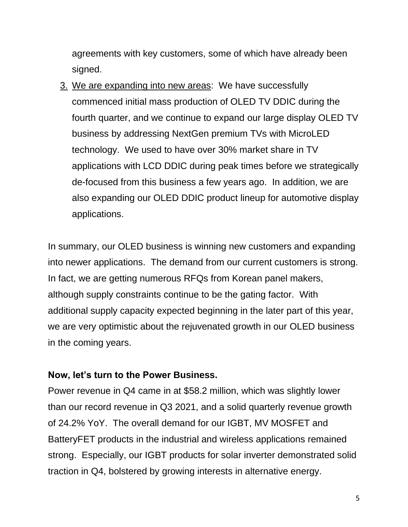agreements with key customers, some of which have already been signed.

3. We are expanding into new areas: We have successfully commenced initial mass production of OLED TV DDIC during the fourth quarter, and we continue to expand our large display OLED TV business by addressing NextGen premium TVs with MicroLED technology. We used to have over 30% market share in TV applications with LCD DDIC during peak times before we strategically de-focused from this business a few years ago. In addition, we are also expanding our OLED DDIC product lineup for automotive display applications.

In summary, our OLED business is winning new customers and expanding into newer applications. The demand from our current customers is strong. In fact, we are getting numerous RFQs from Korean panel makers, although supply constraints continue to be the gating factor. With additional supply capacity expected beginning in the later part of this year, we are very optimistic about the rejuvenated growth in our OLED business in the coming years.

#### **Now, let's turn to the Power Business.**

Power revenue in Q4 came in at \$58.2 million, which was slightly lower than our record revenue in Q3 2021, and a solid quarterly revenue growth of 24.2% YoY. The overall demand for our IGBT, MV MOSFET and BatteryFET products in the industrial and wireless applications remained strong. Especially, our IGBT products for solar inverter demonstrated solid traction in Q4, bolstered by growing interests in alternative energy.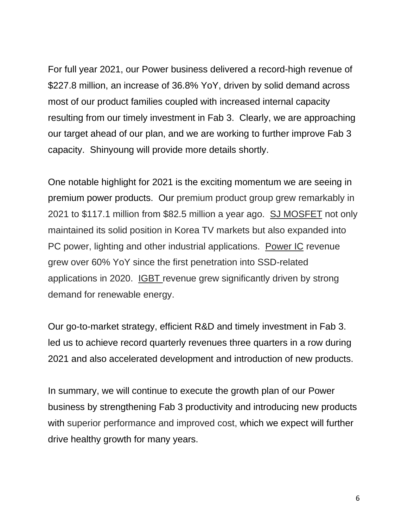For full year 2021, our Power business delivered a record-high revenue of \$227.8 million, an increase of 36.8% YoY, driven by solid demand across most of our product families coupled with increased internal capacity resulting from our timely investment in Fab 3. Clearly, we are approaching our target ahead of our plan, and we are working to further improve Fab 3 capacity. Shinyoung will provide more details shortly.

One notable highlight for 2021 is the exciting momentum we are seeing in premium power products. Our premium product group grew remarkably in 2021 to \$117.1 million from \$82.5 million a year ago. SJ MOSFET not only maintained its solid position in Korea TV markets but also expanded into PC power, lighting and other industrial applications. Power IC revenue grew over 60% YoY since the first penetration into SSD-related applications in 2020. IGBT revenue grew significantly driven by strong demand for renewable energy.

Our go-to-market strategy, efficient R&D and timely investment in Fab 3. led us to achieve record quarterly revenues three quarters in a row during 2021 and also accelerated development and introduction of new products.

In summary, we will continue to execute the growth plan of our Power business by strengthening Fab 3 productivity and introducing new products with superior performance and improved cost, which we expect will further drive healthy growth for many years.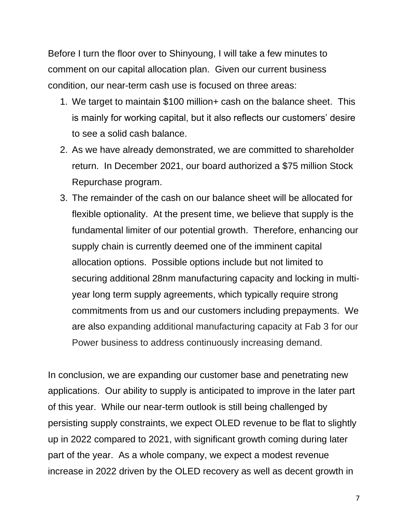Before I turn the floor over to Shinyoung, I will take a few minutes to comment on our capital allocation plan. Given our current business condition, our near-term cash use is focused on three areas:

- 1. We target to maintain \$100 million+ cash on the balance sheet. This is mainly for working capital, but it also reflects our customers' desire to see a solid cash balance.
- 2. As we have already demonstrated, we are committed to shareholder return. In December 2021, our board authorized a \$75 million Stock Repurchase program.
- 3. The remainder of the cash on our balance sheet will be allocated for flexible optionality. At the present time, we believe that supply is the fundamental limiter of our potential growth. Therefore, enhancing our supply chain is currently deemed one of the imminent capital allocation options. Possible options include but not limited to securing additional 28nm manufacturing capacity and locking in multiyear long term supply agreements, which typically require strong commitments from us and our customers including prepayments. We are also expanding additional manufacturing capacity at Fab 3 for our Power business to address continuously increasing demand.

In conclusion, we are expanding our customer base and penetrating new applications. Our ability to supply is anticipated to improve in the later part of this year. While our near-term outlook is still being challenged by persisting supply constraints, we expect OLED revenue to be flat to slightly up in 2022 compared to 2021, with significant growth coming during later part of the year. As a whole company, we expect a modest revenue increase in 2022 driven by the OLED recovery as well as decent growth in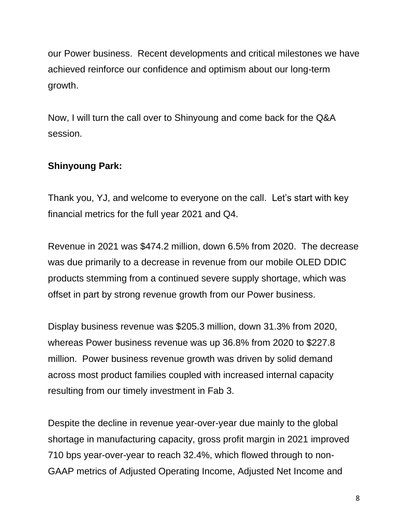our Power business. Recent developments and critical milestones we have achieved reinforce our confidence and optimism about our long-term growth.

Now, I will turn the call over to Shinyoung and come back for the Q&A session.

# **Shinyoung Park:**

Thank you, YJ, and welcome to everyone on the call. Let's start with key financial metrics for the full year 2021 and Q4.

Revenue in 2021 was \$474.2 million, down 6.5% from 2020. The decrease was due primarily to a decrease in revenue from our mobile OLED DDIC products stemming from a continued severe supply shortage, which was offset in part by strong revenue growth from our Power business.

Display business revenue was \$205.3 million, down 31.3% from 2020, whereas Power business revenue was up 36.8% from 2020 to \$227.8 million. Power business revenue growth was driven by solid demand across most product families coupled with increased internal capacity resulting from our timely investment in Fab 3.

Despite the decline in revenue year-over-year due mainly to the global shortage in manufacturing capacity, gross profit margin in 2021 improved 710 bps year-over-year to reach 32.4%, which flowed through to non-GAAP metrics of Adjusted Operating Income, Adjusted Net Income and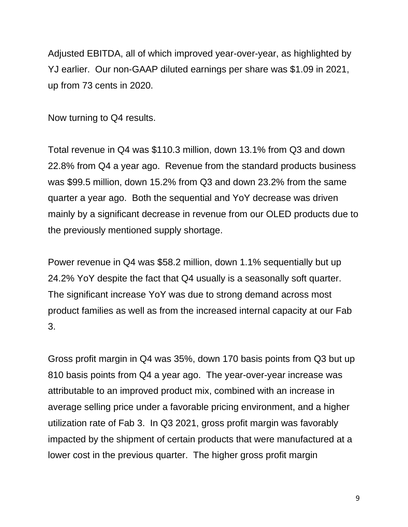Adjusted EBITDA, all of which improved year-over-year, as highlighted by YJ earlier. Our non-GAAP diluted earnings per share was \$1.09 in 2021, up from 73 cents in 2020.

Now turning to Q4 results.

Total revenue in Q4 was \$110.3 million, down 13.1% from Q3 and down 22.8% from Q4 a year ago. Revenue from the standard products business was \$99.5 million, down 15.2% from Q3 and down 23.2% from the same quarter a year ago. Both the sequential and YoY decrease was driven mainly by a significant decrease in revenue from our OLED products due to the previously mentioned supply shortage.

Power revenue in Q4 was \$58.2 million, down 1.1% sequentially but up 24.2% YoY despite the fact that Q4 usually is a seasonally soft quarter. The significant increase YoY was due to strong demand across most product families as well as from the increased internal capacity at our Fab 3.

Gross profit margin in Q4 was 35%, down 170 basis points from Q3 but up 810 basis points from Q4 a year ago. The year-over-year increase was attributable to an improved product mix, combined with an increase in average selling price under a favorable pricing environment, and a higher utilization rate of Fab 3. In Q3 2021, gross profit margin was favorably impacted by the shipment of certain products that were manufactured at a lower cost in the previous quarter. The higher gross profit margin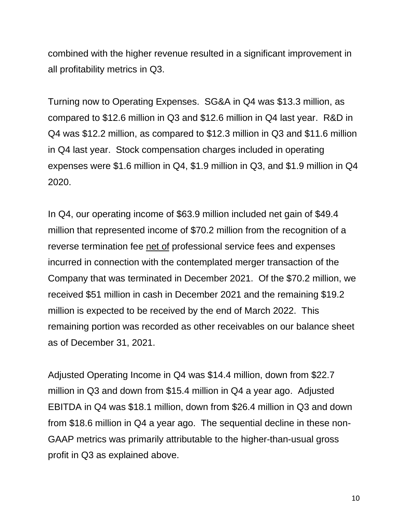combined with the higher revenue resulted in a significant improvement in all profitability metrics in Q3.

Turning now to Operating Expenses. SG&A in Q4 was \$13.3 million, as compared to \$12.6 million in Q3 and \$12.6 million in Q4 last year. R&D in Q4 was \$12.2 million, as compared to \$12.3 million in Q3 and \$11.6 million in Q4 last year. Stock compensation charges included in operating expenses were \$1.6 million in Q4, \$1.9 million in Q3, and \$1.9 million in Q4 2020.

In Q4, our operating income of \$63.9 million included net gain of \$49.4 million that represented income of \$70.2 million from the recognition of a reverse termination fee net of professional service fees and expenses incurred in connection with the contemplated merger transaction of the Company that was terminated in December 2021. Of the \$70.2 million, we received \$51 million in cash in December 2021 and the remaining \$19.2 million is expected to be received by the end of March 2022. This remaining portion was recorded as other receivables on our balance sheet as of December 31, 2021.

Adjusted Operating Income in Q4 was \$14.4 million, down from \$22.7 million in Q3 and down from \$15.4 million in Q4 a year ago. Adjusted EBITDA in Q4 was \$18.1 million, down from \$26.4 million in Q3 and down from \$18.6 million in Q4 a year ago. The sequential decline in these non-GAAP metrics was primarily attributable to the higher-than-usual gross profit in Q3 as explained above.

10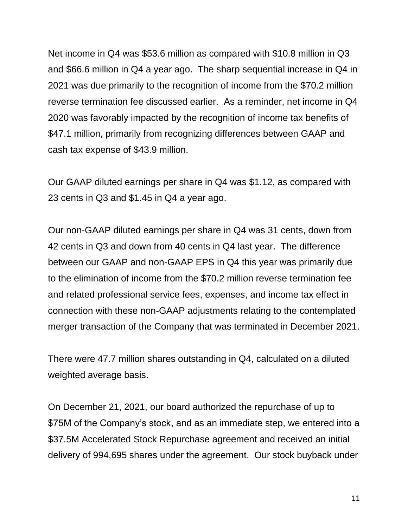Net income in Q4 was \$53.6 million as compared with \$10.8 million in Q3 and \$66.6 million in Q4 a year ago. The sharp sequential increase in Q4 in 2021 was due primarily to the recognition of income from the \$70.2 million reverse termination fee discussed earlier. As a reminder, net income in Q4 2020 was favorably impacted by the recognition of income tax benefits of \$47.1 million, primarily from recognizing differences between GAAP and cash tax expense of \$43.9 million.

Our GAAP diluted earnings per share in Q4 was \$1.12, as compared with 23 cents in Q3 and \$1.45 in Q4 a year ago.

Our non-GAAP diluted earnings per share in Q4 was 31 cents, down from 42 cents in Q3 and down from 40 cents in Q4 last year. The difference between our GAAP and non-GAAP EPS in Q4 this year was primarily due to the elimination of income from the \$70.2 million reverse termination fee and related professional service fees, expenses, and income tax effect in connection with these non-GAAP adjustments relating to the contemplated merger transaction of the Company that was terminated in December 2021.

There were 47.7 million shares outstanding in Q4, calculated on a diluted weighted average basis.

On December 21, 2021, our board authorized the repurchase of up to \$75M of the Company's stock, and as an immediate step, we entered into a \$37.5M Accelerated Stock Repurchase agreement and received an initial delivery of 994,695 shares under the agreement. Our stock buyback under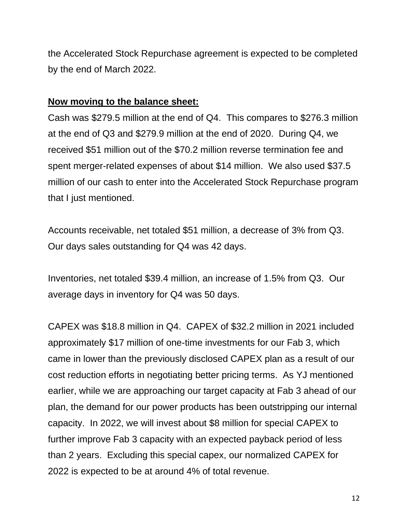the Accelerated Stock Repurchase agreement is expected to be completed by the end of March 2022.

#### **Now moving to the balance sheet:**

Cash was \$279.5 million at the end of Q4. This compares to \$276.3 million at the end of Q3 and \$279.9 million at the end of 2020. During Q4, we received \$51 million out of the \$70.2 million reverse termination fee and spent merger-related expenses of about \$14 million. We also used \$37.5 million of our cash to enter into the Accelerated Stock Repurchase program that I just mentioned.

Accounts receivable, net totaled \$51 million, a decrease of 3% from Q3. Our days sales outstanding for Q4 was 42 days.

Inventories, net totaled \$39.4 million, an increase of 1.5% from Q3. Our average days in inventory for Q4 was 50 days.

CAPEX was \$18.8 million in Q4. CAPEX of \$32.2 million in 2021 included approximately \$17 million of one-time investments for our Fab 3, which came in lower than the previously disclosed CAPEX plan as a result of our cost reduction efforts in negotiating better pricing terms. As YJ mentioned earlier, while we are approaching our target capacity at Fab 3 ahead of our plan, the demand for our power products has been outstripping our internal capacity. In 2022, we will invest about \$8 million for special CAPEX to further improve Fab 3 capacity with an expected payback period of less than 2 years. Excluding this special capex, our normalized CAPEX for 2022 is expected to be at around 4% of total revenue.